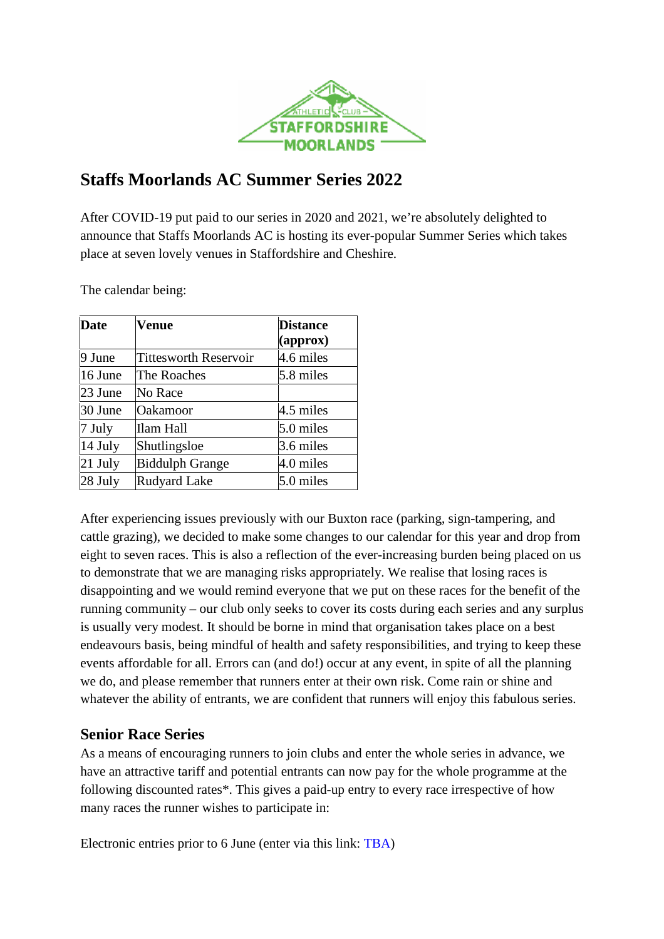

# **Staffs Moorlands AC Summer Series 2022**

After COVID-19 put paid to our series in 2020 and 2021, we're absolutely delighted to announce that Staffs Moorlands AC is hosting its ever-popular Summer Series which takes place at seven lovely venues in Staffordshire and Cheshire.

The calendar being:

| <b>Date</b> | Venue                        | <b>Distance</b> |  |
|-------------|------------------------------|-----------------|--|
|             |                              | (approx)        |  |
| 9 June      | <b>Tittesworth Reservoir</b> | 4.6 miles       |  |
| 16 June     | The Roaches                  | 5.8 miles       |  |
| 23 June     | No Race                      |                 |  |
| 30 June     | Oakamoor                     | 4.5 miles       |  |
| 7 July      | Ilam Hall                    | 5.0 miles       |  |
| 14 July     | Shutlingsloe                 | 3.6 miles       |  |
| $21$ July   | <b>Biddulph Grange</b>       | 4.0 miles       |  |
| 28 July     | <b>Rudyard Lake</b>          | 5.0 miles       |  |

After experiencing issues previously with our Buxton race (parking, sign-tampering, and cattle grazing), we decided to make some changes to our calendar for this year and drop from eight to seven races. This is also a reflection of the ever-increasing burden being placed on us to demonstrate that we are managing risks appropriately. We realise that losing races is disappointing and we would remind everyone that we put on these races for the benefit of the running community – our club only seeks to cover its costs during each series and any surplus is usually very modest. It should be borne in mind that organisation takes place on a best endeavours basis, being mindful of health and safety responsibilities, and trying to keep these events affordable for all. Errors can (and do!) occur at any event, in spite of all the planning we do, and please remember that runners enter at their own risk. Come rain or shine and whatever the ability of entrants, we are confident that runners will enjoy this fabulous series.

# **Senior Race Series**

As a means of encouraging runners to join clubs and enter the whole series in advance, we have an attractive tariff and potential entrants can now pay for the whole programme at the following discounted rates\*. This gives a paid-up entry to every race irrespective of how many races the runner wishes to participate in:

Electronic entries prior to 6 June (enter via this link: TBA)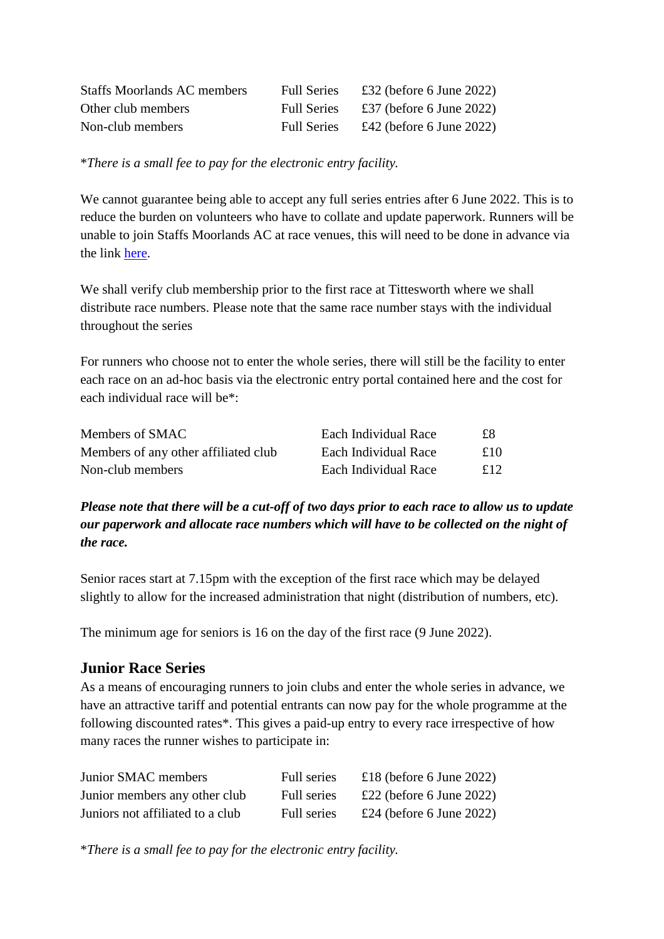| <b>Staffs Moorlands AC members</b> | <b>Full Series</b> | £32 (before 6 June 2022) |
|------------------------------------|--------------------|--------------------------|
| Other club members                 | <b>Full Series</b> | £37 (before 6 June 2022) |
| Non-club members                   | <b>Full Series</b> | £42 (before 6 June 2022) |

\**There is a small fee to pay for the electronic entry facility.*

We cannot guarantee being able to accept any full series entries after 6 June 2022. This is to reduce the burden on volunteers who have to collate and update paperwork. Runners will be unable to join Staffs Moorlands AC at race venues, this will need to be done in advance via the link here.

We shall verify club membership prior to the first race at Tittesworth where we shall distribute race numbers. Please note that the same race number stays with the individual throughout the series

For runners who choose not to enter the whole series, there will still be the facility to enter each race on an ad-hoc basis via the electronic entry portal contained here and the cost for each individual race will be\*:

| Members of SMAC                      | Each Individual Race | £8  |
|--------------------------------------|----------------------|-----|
| Members of any other affiliated club | Each Individual Race | £10 |
| Non-club members                     | Each Individual Race | £12 |

*Please note that there will be a cut-off of two days prior to each race to allow us to update our paperwork and allocate race numbers which will have to be collected on the night of the race.* 

Senior races start at 7.15pm with the exception of the first race which may be delayed slightly to allow for the increased administration that night (distribution of numbers, etc).

The minimum age for seniors is 16 on the day of the first race (9 June 2022).

# **Junior Race Series**

As a means of encouraging runners to join clubs and enter the whole series in advance, we have an attractive tariff and potential entrants can now pay for the whole programme at the following discounted rates\*. This gives a paid-up entry to every race irrespective of how many races the runner wishes to participate in:

| Junior SMAC members              | Full series | £18 (before 6 June 2022) |
|----------------------------------|-------------|--------------------------|
| Junior members any other club    | Full series | £22 (before 6 June 2022) |
| Juniors not affiliated to a club | Full series | £24 (before 6 June 2022) |

\**There is a small fee to pay for the electronic entry facility.*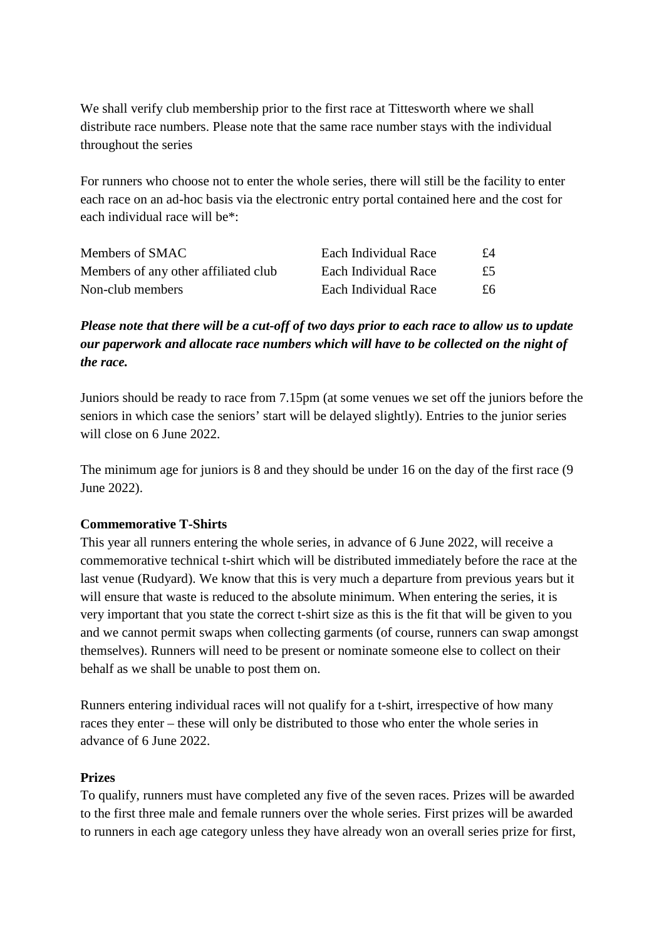We shall verify club membership prior to the first race at Tittesworth where we shall distribute race numbers. Please note that the same race number stays with the individual throughout the series

For runners who choose not to enter the whole series, there will still be the facility to enter each race on an ad-hoc basis via the electronic entry portal contained here and the cost for each individual race will be\*:

| Members of SMAC                      | Each Individual Race | $f_4$ |
|--------------------------------------|----------------------|-------|
| Members of any other affiliated club | Each Individual Race | £5    |
| Non-club members                     | Each Individual Race | £6.   |

*Please note that there will be a cut-off of two days prior to each race to allow us to update our paperwork and allocate race numbers which will have to be collected on the night of the race.* 

Juniors should be ready to race from 7.15pm (at some venues we set off the juniors before the seniors in which case the seniors' start will be delayed slightly). Entries to the junior series will close on 6 June 2022.

The minimum age for juniors is 8 and they should be under 16 on the day of the first race (9 June 2022).

### **Commemorative T-Shirts**

This year all runners entering the whole series, in advance of 6 June 2022, will receive a commemorative technical t-shirt which will be distributed immediately before the race at the last venue (Rudyard). We know that this is very much a departure from previous years but it will ensure that waste is reduced to the absolute minimum. When entering the series, it is very important that you state the correct t-shirt size as this is the fit that will be given to you and we cannot permit swaps when collecting garments (of course, runners can swap amongst themselves). Runners will need to be present or nominate someone else to collect on their behalf as we shall be unable to post them on.

Runners entering individual races will not qualify for a t-shirt, irrespective of how many races they enter – these will only be distributed to those who enter the whole series in advance of 6 June 2022.

#### **Prizes**

To qualify, runners must have completed any five of the seven races. Prizes will be awarded to the first three male and female runners over the whole series. First prizes will be awarded to runners in each age category unless they have already won an overall series prize for first,